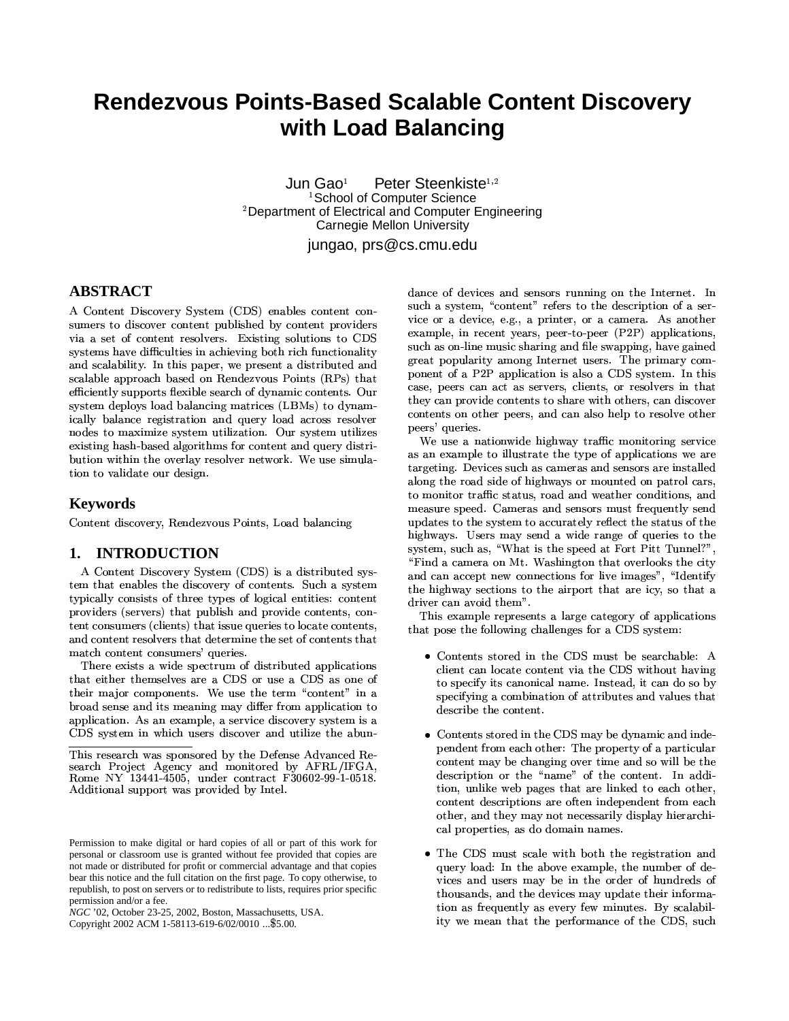# **Rendezvous Points-Based Scalable Content Discovery** with Load Balancing

Jun Gao<sup>1</sup> Peter Steenkiste<sup>1,2</sup> School of Computer Science <sup>2</sup>Department of Electrical and Computer Engineering Carnegie Mellon University jungao, prs@cs.cmu.edu

# **ABSTRACT**

A Content Discovery System (CDS) enables content consumers to discover content published by content providers via a set of content resolvers. Existing solutions to CDS systems have difficulties in achieving both rich functionality and scalability. In this paper, we present a distributed and scalable approach based on Rendezvous Points (RPs) that efficiently supports flexible search of dynamic contents. Our system deploys load balancing matrices (LBMs) to dynamically balance registration and query load across resolver nodes to maximize system utilization. Our system utilizes existing hash-based algorithms for content and query distribution within the overlay resolver network. We use simulation to validate our design.

### **Keywords**

Content discovery, Rendezvous Points, Load balancing

### 1. INTRODUCTION

A Content Discovery System (CDS) is a distributed system that enables the discovery of contents. Such a system typically consists of three types of logical entities: content providers (servers) that publish and provide contents, content consumers (clients) that issue queries to locate contents, and content resolvers that determine the set of contents that match content consumers' queries.

There exists a wide spectrum of distributed applications that either themselves are a CDS or use a CDS as one of their major components. We use the term "content" in a broad sense and its meaning may differ from application to application. As an example, a service discovery system is a CDS system in which users discover and utilize the abun-

Copyright 2002 ACM 1-58113-619-6/02/0010 ... \$5.00.

dance of devices and sensors running on the Internet. In such a system, "content" refers to the description of a service or a device, e.g., a printer, or a camera. As another example, in recent years, peer-to-peer (P2P) applications, such as on-line music sharing and file swapping, have gained great popularity among Internet users. The primary component of a P2P application is also a CDS system. In this case, peers can act as servers, clients, or resolvers in that they can provide contents to share with others, can discover contents on other peers, and can also help to resolve other peers' queries.

We use a nationwide highway traffic monitoring service as an example to illustrate the type of applications we are targeting. Devices such as cameras and sensors are installed along the road side of highways or mounted on patrol cars, to monitor traffic status, road and weather conditions, and measure speed. Cameras and sensors must frequently send updates to the system to accurately reflect the status of the highways. Users may send a wide range of queries to the system, such as, "What is the speed at Fort Pitt Tunnel?", "Find a camera on Mt. Washington that overlooks the city and can accept new connections for live images", "Identify the highway sections to the airport that are icy, so that a driver can avoid them".

This example represents a large category of applications that pose the following challenges for a CDS system:

- Contents stored in the CDS must be searchable: A client can locate content via the CDS without having to specify its canonical name. Instead, it can do so by specifying a combination of attributes and values that describe the content.
- Contents stored in the CDS may be dynamic and independent from each other: The property of a particular content may be changing over time and so will be the description or the "name" of the content. In addition, unlike web pages that are linked to each other, content descriptions are often independent from each other, and they may not necessarily display hierarchical properties, as do domain names.
- The CDS must scale with both the registration and query load: In the above example, the number of devices and users may be in the order of hundreds of thousands, and the devices may update their information as frequently as every few minutes. By scalability we mean that the performance of the CDS, such

This research was sponsored by the Defense Advanced Research Project Agency and monitored by AFRL/IFGA, Rome NY 13441-4505, under contract F30602-99-1-0518. Additional support was provided by Intel.

Permission to make digital or hard copies of all or part of this work for personal or classroom use is granted without fee provided that copies are not made or distributed for profit or commercial advantage and that copies bear this notice and the full citation on the first page. To copy otherwise, to republish, to post on servers or to redistribute to lists, requires prior specific permission and/or a fee.

NGC '02, October 23-25, 2002, Boston, Massachusetts, USA.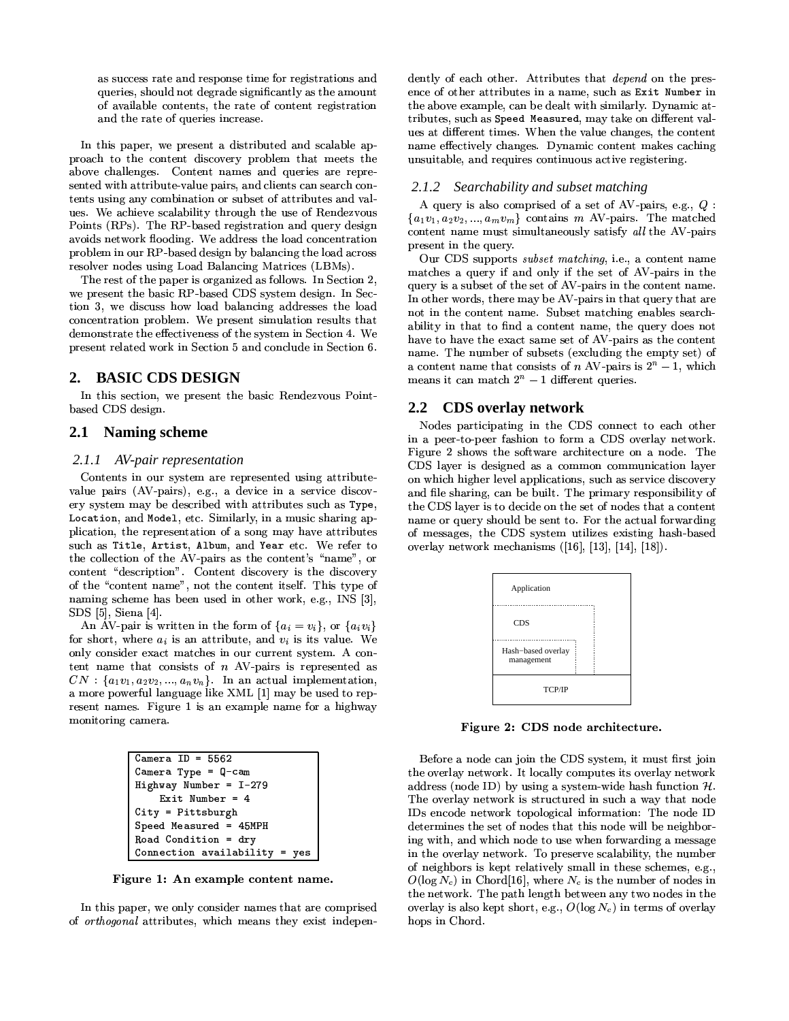as success rate and response time for registrations and queries, should not degrade significantly as the amount of available contents, the rate of content registration and the rate of queries increase.

In this paper, we present a distributed and scalable approach to the content discovery problem that meets the above challenges. Content names and queries are represented with attribute-value pairs, and clients can search contents using any combination or subset of attributes and values. We achieve scalability through the use of Rendezvous Points (RPs). The RP-based registration and query design avoids network flooding. We address the load concentration problem in our RP-based design by balancing the load across resolver nodes using Load Balancing Matrices (LBMs).

The rest of the paper is organized as follows. In Section 2, we present the basic RP-based CDS system design. In Section 3, we discuss how load balancing addresses the load concentration problem. We present simulation results that demonstrate the effectiveness of the system in Section 4. We present related work in Section 5 and conclude in Section 6.

#### **BASIC CDS DESIGN**  $2.$

In this section, we present the basic Rendezvous Pointbased CDS design.

#### **Naming scheme**  $2.1$

### 2.1.1 AV-pair representation

Contents in our system are represented using attributevalue pairs (AV-pairs), e.g., a device in a service discovery system may be described with attributes such as Type, Location, and Model, etc. Similarly, in a music sharing application, the representation of a song may have attributes such as Title, Artist, Album, and Year etc. We refer to the collection of the AV-pairs as the content's "name", or content "description". Content discovery is the discovery of the "content name", not the content itself. This type of naming scheme has been used in other work, e.g., INS [3],  $SDS$  [5], Siena [4].

An AV-pair is written in the form of  $\{a_i = v_i\}$ , or  $\{a_i v_i\}$ for short, where  $a_i$  is an attribute, and  $v_i$  is its value. We only consider exact matches in our current system. A content name that consists of  $n$  AV-pairs is represented as  $CN: \{a_1v_1, a_2v_2, ..., a_nv_n\}$ . In an actual implementation, a more powerful language like XML [1] may be used to represent names. Figure 1 is an example name for a highway monitoring camera.

| Camera $ID = 5562$                       |
|------------------------------------------|
| Camera Type = $Q-cam$                    |
| Highway Number = $I-279$                 |
| Exit Number = $4$                        |
| $City = Pittsburgh$                      |
| Speed Measured = 45MPH                   |
| Road Condition = $\text{dry}$            |
| Connection $available$ $\rightarrow$ yes |

Figure 1: An example content name.

In this paper, we only consider names that are comprised of *orthogonal* attributes, which means they exist independently of each other. Attributes that *depend* on the presence of other attributes in a name, such as Exit Number in the above example, can be dealt with similarly. Dynamic attributes, such as Speed Measured, may take on different values at different times. When the value changes, the content name effectively changes. Dynamic content makes caching unsuitable, and requires continuous active registering.

### 2.1.2 Searchability and subset matching

A query is also comprised of a set of AV-pairs, e.g.,  $Q$ :  ${a_1v_1, a_2v_2, ..., a_mv_m}$  contains m AV-pairs. The matched content name must simultaneously satisfy all the AV-pairs present in the query.

Our CDS supports *subset matching*, i.e., a content name matches a query if and only if the set of AV-pairs in the query is a subset of the set of AV-pairs in the content name. In other words, there may be AV-pairs in that query that are not in the content name. Subset matching enables searchability in that to find a content name, the query does not have to have the exact same set of AV-pairs as the content name. The number of subsets (excluding the empty set) of a content name that consists of n AV-pairs is  $2^n - 1$ , which means it can match  $2^n - 1$  different queries.

#### $2.2^{\circ}$ CDS overlay network

Nodes participating in the CDS connect to each other in a peer-to-peer fashion to form a CDS overlay network. Figure 2 shows the software architecture on a node. The CDS layer is designed as a common communication layer on which higher level applications, such as service discovery and file sharing, can be built. The primary responsibility of the CDS layer is to decide on the set of nodes that a content name or query should be sent to. For the actual forwarding of messages, the CDS system utilizes existing hash-based overlay network mechanisms  $(16, 13, 14, 18)$ .



Figure 2: CDS node architecture.

Before a node can join the CDS system, it must first join the overlay network. It locally computes its overlay network address (node ID) by using a system-wide hash function  $H$ . The overlay network is structured in such a way that node IDs encode network topological information: The node ID determines the set of nodes that this node will be neighboring with, and which node to use when forwarding a message in the overlay network. To preserve scalability, the number of neighbors is kept relatively small in these schemes, e.g.,  $O(\log N_c)$  in Chord<sup>[16]</sup>, where  $N_c$  is the number of nodes in the network. The path length between any two nodes in the overlay is also kept short, e.g.,  $O(\log N_c)$  in terms of overlay hops in Chord.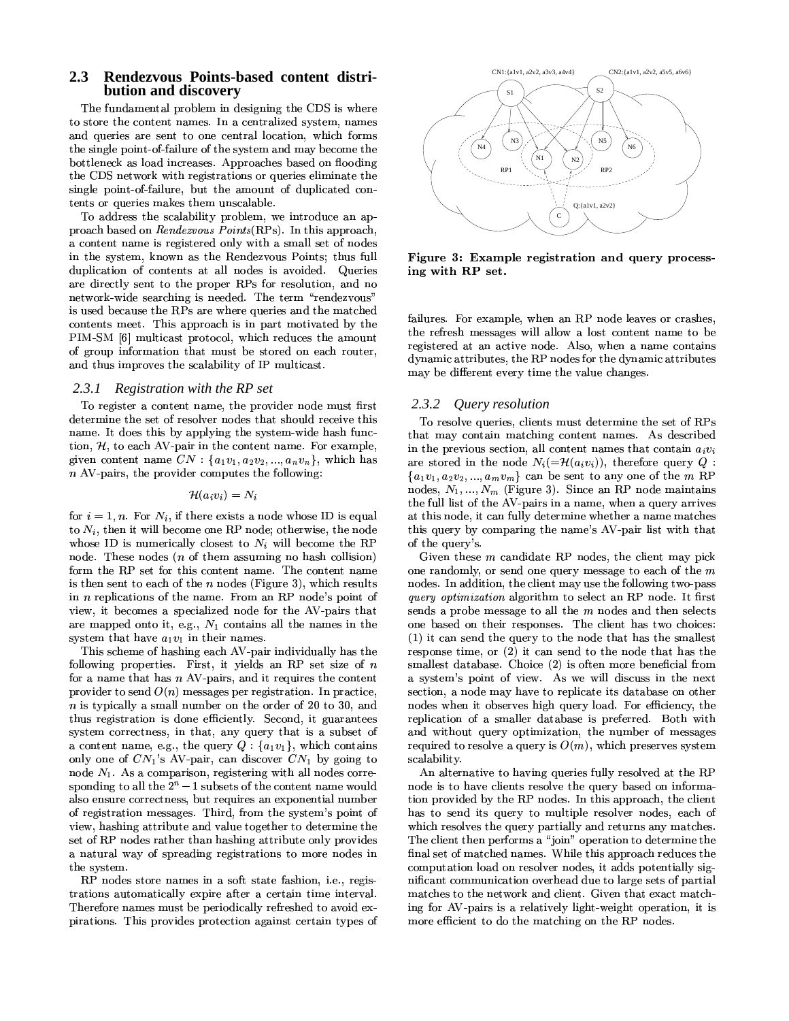#### Rendezvous Points-based content distri-2.3 bution and discovery

The fundamental problem in designing the CDS is where to store the content names. In a centralized system, names and queries are sent to one central location, which forms the single point-of-failure of the system and may become the bottleneck as load increases. Approaches based on flooding the CDS network with registrations or queries eliminate the single point-of-failure, but the amount of duplicated contents or queries makes them unscalable.

To address the scalability problem, we introduce an approach based on *Rendezvous Points*(RPs). In this approach, a content name is registered only with a small set of nodes in the system, known as the Rendezvous Points; thus full duplication of contents at all nodes is avoided. Queries are directly sent to the proper RPs for resolution, and no network-wide searching is needed. The term "rendezvous" is used because the RPs are where queries and the matched contents meet. This approach is in part motivated by the PIM-SM [6] multicast protocol, which reduces the amount of group information that must be stored on each router, and thus improves the scalability of IP multicast.

#### $2.3.1$ Registration with the RP set

To register a content name, the provider node must first determine the set of resolver nodes that should receive this name. It does this by applying the system-wide hash function,  $H$ , to each AV-pair in the content name. For example, given content name  $CN: \{a_1v_1, a_2v_2, ..., a_nv_n\}$ , which has  $n$  AV-pairs, the provider computes the following:

### $\mathcal{H}(a_i v_i) = N_i$

for  $i = 1, n$ . For  $N_i$ , if there exists a node whose ID is equal to  $N_i$ , then it will become one RP node; otherwise, the node whose ID is numerically closest to  $N_i$  will become the RP node. These nodes (*n* of them assuming no hash collision) form the RP set for this content name. The content name is then sent to each of the  $n$  nodes (Figure 3), which results in  $n$  replications of the name. From an RP node's point of view, it becomes a specialized node for the AV-pairs that are mapped onto it, e.g.,  $N_1$  contains all the names in the system that have  $a_1v_1$  in their names.

This scheme of hashing each AV-pair individually has the following properties. First, it yields an RP set size of  $n$ for a name that has  $n$  AV-pairs, and it requires the content provider to send  $O(n)$  messages per registration. In practice,  $n$  is typically a small number on the order of 20 to 30, and thus registration is done efficiently. Second, it guarantees system correctness, in that, any query that is a subset of a content name, e.g., the query  $Q: \{a_1v_1\}$ , which contains only one of  $CN_1$ 's AV-pair, can discover  $CN_1$  by going to node  $N_1$ . As a comparison, registering with all nodes corresponding to all the  $2^n - 1$  subsets of the content name would also ensure correctness, but requires an exponential number of registration messages. Third, from the system's point of view, hashing attribute and value together to determine the set of RP nodes rather than hashing attribute only provides a natural way of spreading registrations to more nodes in the system.

RP nodes store names in a soft state fashion, i.e., registrations automatically expire after a certain time interval. Therefore names must be periodically refreshed to avoid expirations. This provides protection against certain types of



Figure 3: Example registration and query processing with RP set.

failures. For example, when an RP node leaves or crashes, the refresh messages will allow a lost content name to be registered at an active node. Also, when a name contains dynamic attributes, the RP nodes for the dynamic attributes may be different every time the value changes.

### 2.3.2 Query resolution

To resolve queries, clients must determine the set of RPs that may contain matching content names. As described in the previous section, all content names that contain  $a_i v_i$ are stored in the node  $N_i(=\mathcal{H}(a_i v_i))$ , therefore query Q:  ${a_1v_1, a_2v_2, ..., a_mv_m}$  can be sent to any one of the m RP nodes,  $N_1, ..., N_m$  (Figure 3). Since an RP node maintains the full list of the AV-pairs in a name, when a query arrives at this node, it can fully determine whether a name matches this query by comparing the name's AV-pair list with that of the query's.

Given these  $m$  candidate RP nodes, the client may pick one randomly, or send one query message to each of the  $m$ nodes. In addition, the client may use the following two-pass *query optimization* algorithm to select an RP node. It first sends a probe message to all the  $m$  nodes and then selects one based on their responses. The client has two choices: (1) it can send the query to the node that has the smallest response time, or  $(2)$  it can send to the node that has the smallest database. Choice (2) is often more beneficial from a system's point of view. As we will discuss in the next section, a node may have to replicate its database on other nodes when it observes high query load. For efficiency, the replication of a smaller database is preferred. Both with and without query optimization, the number of messages required to resolve a query is  $O(m)$ , which preserves system scalability.

An alternative to having queries fully resolved at the RP node is to have clients resolve the query based on information provided by the RP nodes. In this approach, the client has to send its query to multiple resolver nodes, each of which resolves the query partially and returns any matches. The client then performs a "join" operation to determine the final set of matched names. While this approach reduces the computation load on resolver nodes, it adds potentially significant communication overhead due to large sets of partial matches to the network and client. Given that exact matching for AV-pairs is a relatively light-weight operation, it is more efficient to do the matching on the RP nodes.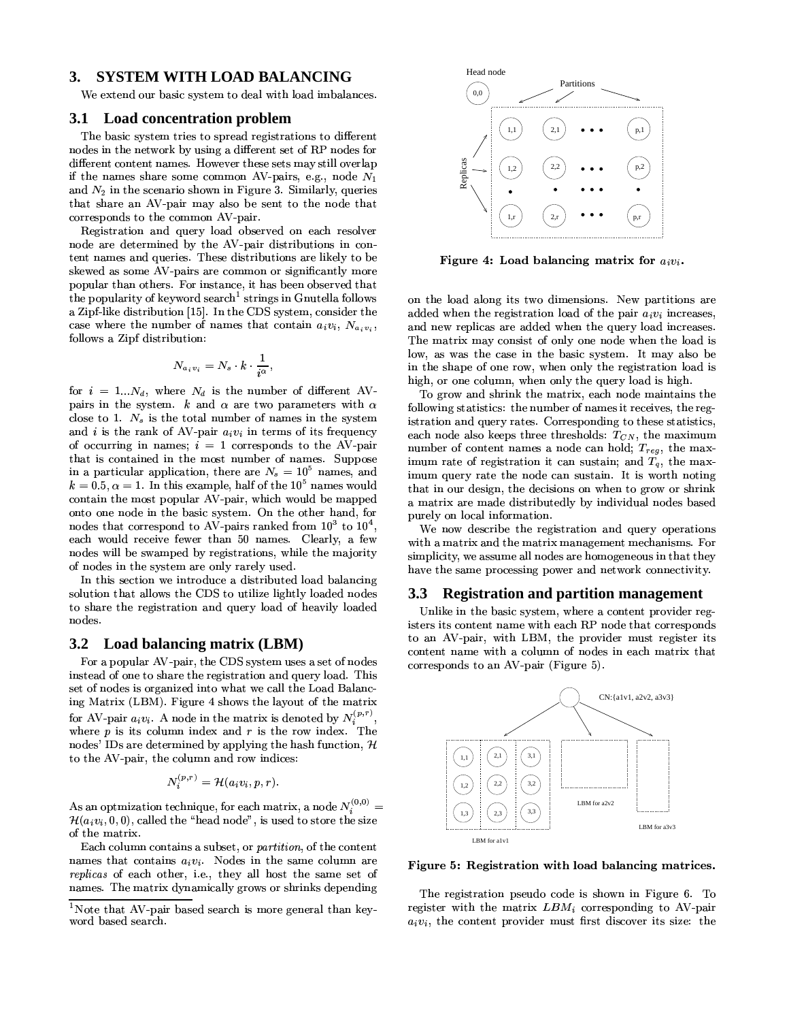#### **SYSTEM WITH LOAD BALANCING 3.**

We extend our basic system to deal with load imbalances.

#### Load concentration problem **3.1**

The basic system tries to spread registrations to different nodes in the network by using a different set of RP nodes for different content names. However these sets may still overlap if the names share some common AV-pairs, e.g., node  $N_1$ and  $N_2$  in the scenario shown in Figure 3. Similarly, queries that share an AV-pair may also be sent to the node that corresponds to the common AV-pair.

Registration and query load observed on each resolver node are determined by the AV-pair distributions in content names and queries. These distributions are likely to be skewed as some AV-pairs are common or significantly more popular than others. For instance, it has been observed that the popularity of keyword search<sup>1</sup> strings in Gnutella follows a Zipf-like distribution [15]. In the CDS system, consider the case where the number of names that contain  $a_i v_i$ ,  $N_{a_i v_i}$ , follows a Zipf distribution:

$$
N_{a_i v_i} = N_s \cdot k \cdot \frac{1}{i^{\alpha}},
$$

for  $i = 1...N_d$ , where  $N_d$  is the number of different AVpairs in the system.  $k$  and  $\alpha$  are two parameters with  $\alpha$ close to 1.  $N_s$  is the total number of names in the system and i is the rank of AV-pair  $a_i v_i$  in terms of its frequency of occurring in names;  $i = 1$  corresponds to the AV-pair that is contained in the most number of names. Suppose in a particular application, there are  $N_s = 10^5$  names, and  $k = 0.5, \alpha = 1$ . In this example, half of the  $10^5$  names would contain the most popular AV-pair, which would be mapped onto one node in the basic system. On the other hand, for nodes that correspond to AV-pairs ranked from  $10^3$  to  $10^4$ . each would receive fewer than 50 names. Clearly, a few nodes will be swamped by registrations, while the majority of nodes in the system are only rarely used.

In this section we introduce a distributed load balancing solution that allows the CDS to utilize lightly loaded nodes to share the registration and query load of heavily loaded nodes.

#### $3.2$ Load balancing matrix (LBM)

For a popular AV-pair, the CDS system uses a set of nodes instead of one to share the registration and query load. This set of nodes is organized into what we call the Load Balancing Matrix (LBM). Figure 4 shows the layout of the matrix for AV-pair  $a_i v_i$ . A node in the matrix is denoted by  $N_i^{(p,r)}$ , where  $p$  is its column index and  $r$  is the row index. The nodes' IDs are determined by applying the hash function,  $H$ to the AV-pair, the column and row indices:

$$
N_i^{(p,r)} = \mathcal{H}(a_i v_i, p, r)
$$

As an optimization technique, for each matrix, a node  $N_i^{(0,0)}$  =  $\mathcal{H}(a_i v_i, 0, 0)$ , called the "head node", is used to store the size of the matrix

Each column contains a subset, or *partition*, of the content names that contains  $a_i v_i$ . Nodes in the same column are *replicas* of each other, i.e., they all host the same set of names. The matrix dynamically grows or shrinks depending



Figure 4: Load balancing matrix for  $a_i v_i$ .

on the load along its two dimensions. New partitions are added when the registration load of the pair  $a_i v_i$  increases, and new replicas are added when the query load increases. The matrix may consist of only one node when the load is low, as was the case in the basic system. It may also be in the shape of one row, when only the registration load is high, or one column, when only the query load is high.

To grow and shrink the matrix, each node maintains the following statistics: the number of names it receives, the registration and query rates. Corresponding to these statistics, each node also keeps three thresholds:  $T_{CN}$ , the maximum number of content names a node can hold;  $T_{req}$ , the maximum rate of registration it can sustain; and  $T_a$ , the maximum query rate the node can sustain. It is worth noting that in our design, the decisions on when to grow or shrink a matrix are made distributedly by individual nodes based purely on local information.

We now describe the registration and query operations with a matrix and the matrix management mechanisms. For simplicity, we assume all nodes are homogeneous in that they have the same processing power and network connectivity.

#### $3.3<sub>2</sub>$ **Registration and partition management**

Unlike in the basic system, where a content provider registers its content name with each RP node that corresponds to an AV-pair, with LBM, the provider must register its content name with a column of nodes in each matrix that corresponds to an AV-pair (Figure 5).



Figure 5: Registration with load balancing matrices.

The registration pseudo code is shown in Figure 6. To register with the matrix  $LBM_i$  corresponding to AV-pair  $a_i v_i$ , the content provider must first discover its size: the

<sup>&</sup>lt;sup>1</sup>Note that AV-pair based search is more general than keyword based search.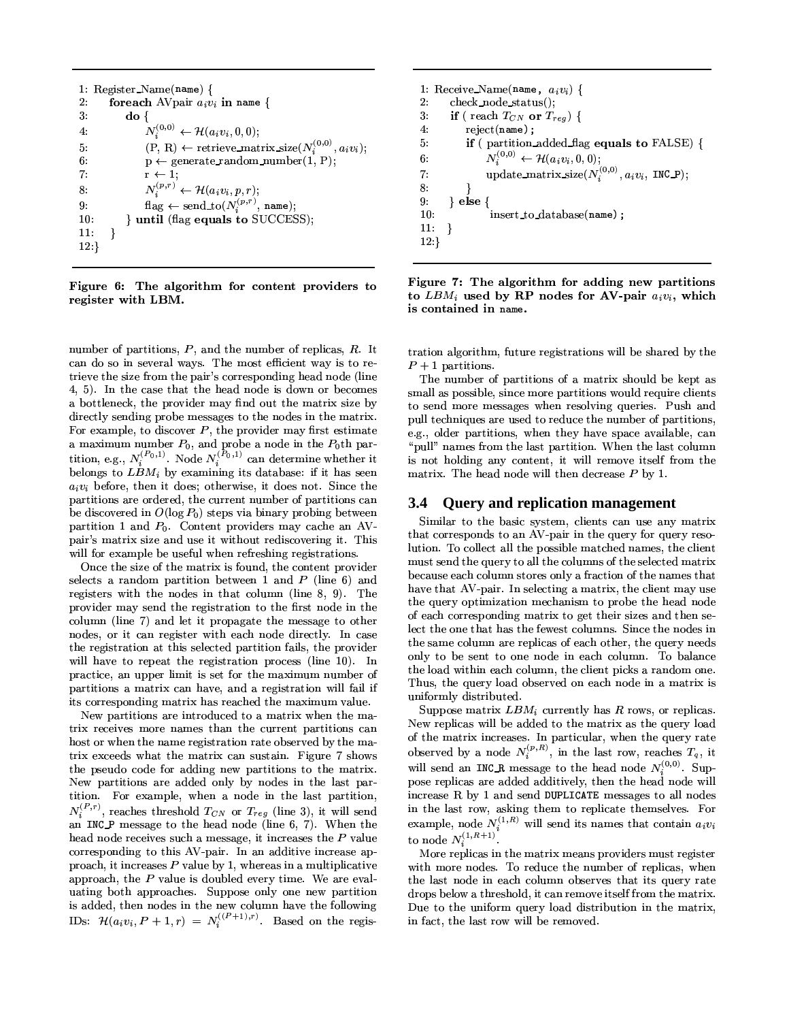1: Register\_Name(name) {  $2:$ foreach AV pair  $a_i v_i$  in name {  $3:$  $\mathbf{d} \mathbf{o} \{$  $N_i^{(0,0)} \leftarrow \mathcal{H}(a_i v_i, 0, 0);$  $4:$  $(P, R) \leftarrow$  retrieve\_matrix\_size( $N_i^{(0,0)}, a_i v_i$ );  $5:$  $6:$  $p \leftarrow$  generate\_random\_number(1, P);  $r \leftarrow 1$ ; 7.  $\begin{array}{l} \label{eq:1} N_{i}^{(p,r)} \leftarrow \mathcal{H}(a_{i}v_{i}, p, r); \\ \text{flag} \leftarrow \text{send\_to}(N_{i}^{(p,r)}, \text{ name}); \end{array}$ 8.  $9:$ } until (flag equals to SUCCESS);  $10<sup>°</sup>$  $\mathcal{E}$  $11:$  $12:\}$ 

Figure 6: The algorithm for content providers to register with LBM.

number of partitions,  $P$ , and the number of replicas,  $R$ . It can do so in several ways. The most efficient way is to retrieve the size from the pair's corresponding head node (line 4, 5). In the case that the head node is down or becomes a bottleneck, the provider may find out the matrix size by directly sending probe messages to the nodes in the matrix. For example, to discover  $P$ , the provider may first estimate a maximum number  $P_0$ , and probe a node in the  $P_0$ th partition, e.g.,  $N_i^{(P_0,1)}$ . Node  $N_i^{(P_0,1)}$  can determine whether it belongs to  $LBM_i$  by examining its database: if it has seen  $a_i v_i$  before, then it does; otherwise, it does not. Since the partitions are ordered, the current number of partitions can be discovered in  $O(\log P_0)$  steps via binary probing between partition 1 and  $P_0$ . Content providers may cache an AVpair's matrix size and use it without rediscovering it. This will for example be useful when refreshing registrations.

Once the size of the matrix is found, the content provider selects a random partition between 1 and  $P$  (line 6) and registers with the nodes in that column (line 8, 9). The provider may send the registration to the first node in the column (line 7) and let it propagate the message to other nodes, or it can register with each node directly. In case the registration at this selected partition fails, the provider will have to repeat the registration process (line 10). In practice, an upper limit is set for the maximum number of partitions a matrix can have, and a registration will fail if its corresponding matrix has reached the maximum value.

New partitions are introduced to a matrix when the matrix receives more names than the current partitions can host or when the name registration rate observed by the matrix exceeds what the matrix can sustain. Figure 7 shows the pseudo code for adding new partitions to the matrix. New partitions are added only by nodes in the last partition. For example, when a node in the last partition,  $N_i^{(P,r)}$ , reaches threshold  $T_{CN}$  or  $T_{reg}$  (line 3), it will send an INCP message to the head node (line 6, 7). When the head node receives such a message, it increases the  $P$  value corresponding to this AV-pair. In an additive increase approach, it increases  $P$  value by 1, whereas in a multiplicative approach, the  $P$  value is doubled every time. We are evaluating both approaches. Suppose only one new partition is added, then nodes in the new column have the following<br>IDs:  $\mathcal{H}(a_i v_i, P + 1, r) = N_i^{((P+1), r)}$ . Based on the regis-

1: Receive\_Name(name,  $a_i v_i$ ) {  $2:$  $check\_node\_status()$ ; if (reach  $T_{CN}$  or  $T_{reg}$ ) {  $3:$ 4.  $reject(name)$ ; if (partition\_added\_flag equals to FALSE) { 5.  $N_i^{(0,0)} \leftarrow \mathcal{H}(a_i v_i, 0, 0);$  $6:$ update\_matrix\_size( $N_i^{(0,0)}$ ,  $a_i v_i$ , INC\_P);  $\overline{7}$ : 8.  $9:$  $\}$  else  $\{$  $insert\_to\_database(name)$ :  $10<sup>°</sup>$  $11:$  $12.\}$ 



tration algorithm, future registrations will be shared by the  $P+1$  partitions

The number of partitions of a matrix should be kept as small as possible, since more partitions would require clients to send more messages when resolving queries. Push and pull techniques are used to reduce the number of partitions, e.g., older partitions, when they have space available, can "pull" names from the last partition. When the last column is not holding any content, it will remove itself from the matrix. The head node will then decrease  $P$  by 1.

### 3.4 Query and replication management

Similar to the basic system, clients can use any matrix that corresponds to an AV-pair in the query for query resolution. To collect all the possible matched names, the client must send the query to all the columns of the selected matrix because each column stores only a fraction of the names that have that AV-pair. In selecting a matrix, the client may use the query optimization mechanism to probe the head node of each corresponding matrix to get their sizes and then select the one that has the fewest columns. Since the nodes in the same column are replicas of each other, the query needs only to be sent to one node in each column. To balance the load within each column, the client picks a random one. Thus, the query load observed on each node in a matrix is uniformly distributed.

Suppose matrix  $LBM_i$  currently has R rows, or replicas. New replicas will be added to the matrix as the query load of the matrix increases. In particular, when the query rate observed by a node  $N_i^{(p,R)}$ , in the last row, reaches  $T_q$ , it will send an INC<sub>-R</sub> message to the head node  $N_i^{(0,0)}$ . Suppose replicas are added additively, then the head node will increase R by 1 and send DUPLICATE messages to all nodes in the last row, asking them to replicate themselves. For example, node  $N_i^{(1,R)}$  will send its names that contain  $a_i v_i$ to node  $N_i^{(1,R+1)}$ .

More replicas in the matrix means providers must register with more nodes. To reduce the number of replicas, when the last node in each column observes that its query rate drops below a threshold, it can remove itself from the matrix. Due to the uniform query load distribution in the matrix, in fact, the last row will be removed.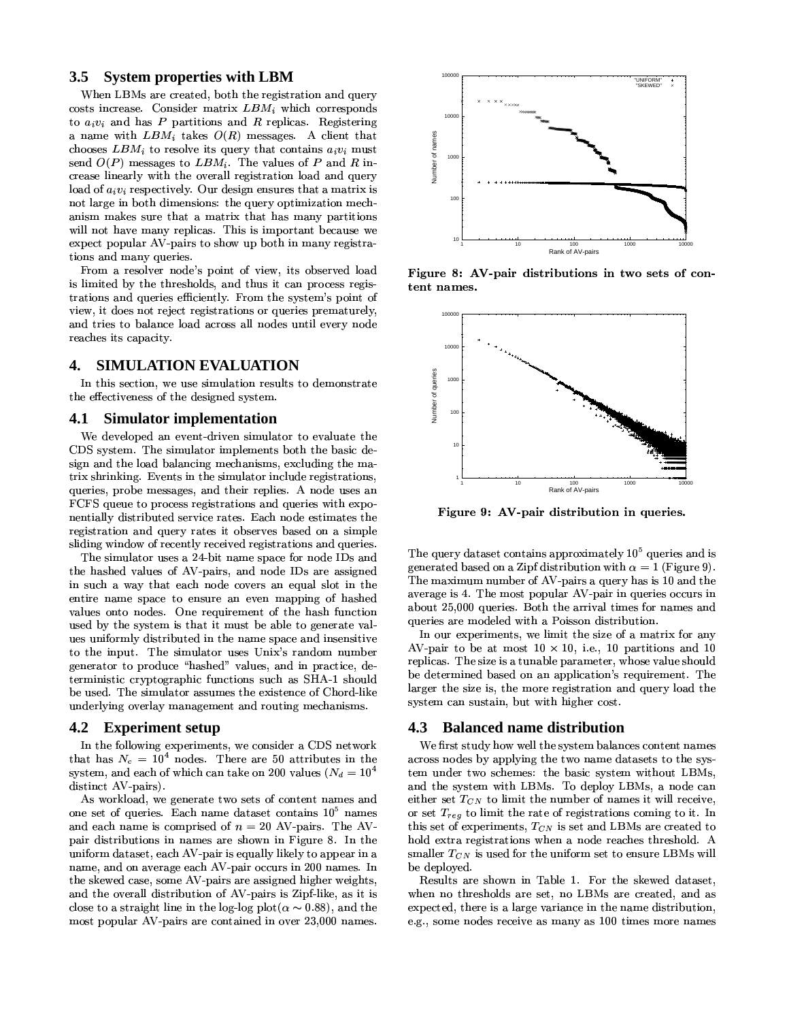#### **System properties with LBM**  $3.5$

When LBMs are created, both the registration and query costs increase. Consider matrix  $LBM_i$  which corresponds to  $a_i v_i$  and has P partitions and R replicas. Registering a name with  $LBM_i$  takes  $O(R)$  messages. A client that chooses  $LBM_i$  to resolve its query that contains  $a_i v_i$  must send  $O(P)$  messages to  $LBM_i$ . The values of P and R increase linearly with the overall registration load and query load of  $a_i v_i$  respectively. Our design ensures that a matrix is not large in both dimensions: the query optimization mechanism makes sure that a matrix that has many partitions will not have many replicas. This is important because we expect popular AV-pairs to show up both in many registrations and many queries.

From a resolver node's point of view, its observed load is limited by the thresholds, and thus it can process registrations and queries efficiently. From the system's point of view, it does not reject registrations or queries prematurely, and tries to balance load across all nodes until every node reaches its capacity.

#### **SIMULATION EVALUATION** 4.

In this section, we use simulation results to demonstrate the effectiveness of the designed system.

#### **Simulator implementation** 4.1

We developed an event-driven simulator to evaluate the CDS system. The simulator implements both the basic design and the load balancing mechanisms, excluding the matrix shrinking. Events in the simulator include registrations, queries, probe messages, and their replies. A node uses an FCFS queue to process registrations and queries with exponentially distributed service rates. Each node estimates the registration and query rates it observes based on a simple sliding window of recently received registrations and queries.

The simulator uses a 24-bit name space for node IDs and the hashed values of AV-pairs, and node IDs are assigned in such a way that each node covers an equal slot in the entire name space to ensure an even mapping of hashed values onto nodes. One requirement of the hash function used by the system is that it must be able to generate values uniformly distributed in the name space and insensitive to the input. The simulator uses Unix's random number generator to produce "hashed" values, and in practice, deterministic cryptographic functions such as SHA-1 should be used. The simulator assumes the existence of Chord-like underlying overlay management and routing mechanisms.

#### 4.2 **Experiment setup**

In the following experiments, we consider a CDS network that has  $N_c = 10^4$  nodes. There are 50 attributes in the system, and each of which can take on 200 values ( $N_d = 10^4$ distinct AV pairs).

As workload, we generate two sets of content names and one set of queries. Each name dataset contains 10<sup>5</sup> names and each name is comprised of  $n = 20$  AV-pairs. The AVpair distributions in names are shown in Figure 8. In the uniform dataset, each AV-pair is equally likely to appear in a name, and on average each AV-pair occurs in 200 names. In the skewed case, some AV-pairs are assigned higher weights, and the overall distribution of AV-pairs is Zipf-like, as it is close to a straight line in the log-log plot( $\alpha \sim 0.88$ ), and the most popular AV-pairs are contained in over 23,000 names.



Figure 8: AV-pair distributions in two sets of content names.



Figure 9: AV-pair distribution in queries.

The query dataset contains approximately  $10^5$  queries and is generated based on a Zipf distribution with  $\alpha = 1$  (Figure 9). The maximum number of AV-pairs a query has is 10 and the average is 4. The most popular AV-pair in queries occurs in about 25,000 queries. Both the arrival times for names and queries are modeled with a Poisson distribution.

In our experiments, we limit the size of a matrix for any AV-pair to be at most  $10 \times 10$ , i.e., 10 partitions and 10 replicas. The size is a tunable parameter, whose value should be determined based on an application's requirement. The larger the size is, the more registration and query load the system can sustain, but with higher cost.

### 4.3 Balanced name distribution

We first study how well the system balances content names across nodes by applying the two name datasets to the system under two schemes: the basic system without LBMs, and the system with LBMs. To deploy LBMs, a node can either set  $T_{CN}$  to limit the number of names it will receive, or set  $T_{reg}$  to limit the rate of registrations coming to it. In this set of experiments,  $T_{CN}$  is set and LBMs are created to hold extra registrations when a node reaches threshold. A smaller  $T_{CN}$  is used for the uniform set to ensure LBMs will be deployed.

Results are shown in Table 1. For the skewed dataset, when no thresholds are set, no LBMs are created, and as expected, there is a large variance in the name distribution, e.g., some nodes receive as many as 100 times more names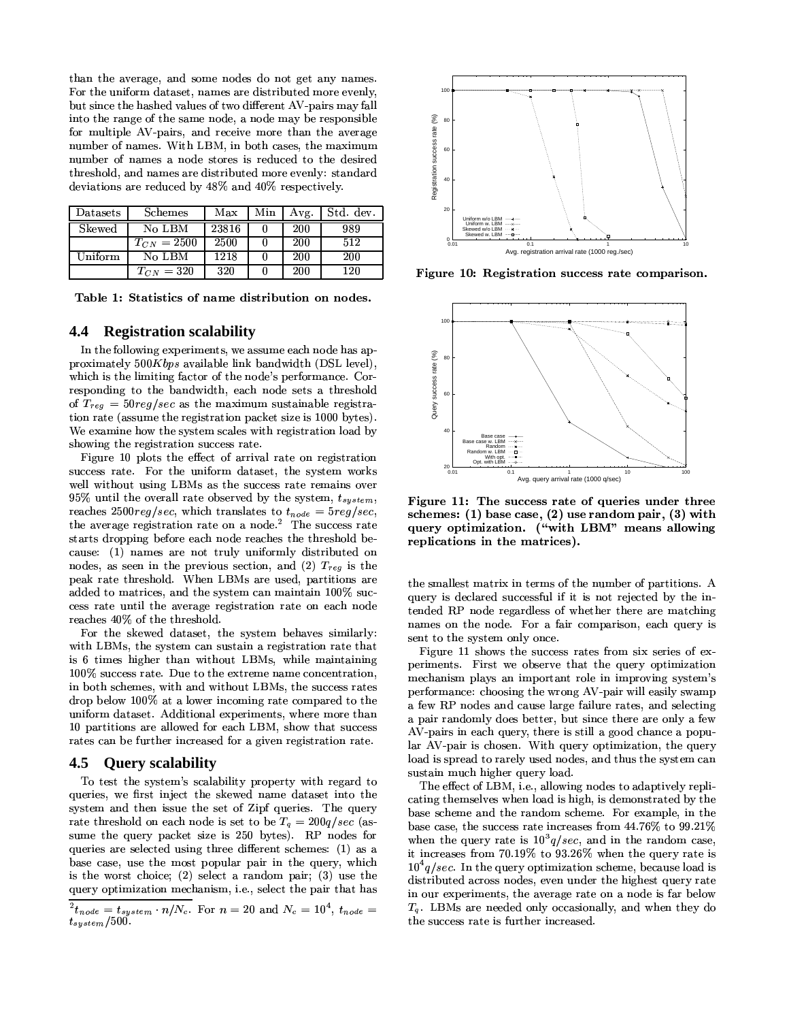than the average, and some nodes do not get any names. For the uniform dataset, names are distributed more evenly, but since the hashed values of two different AV-pairs may fall into the range of the same node, a node may be responsible for multiple AV-pairs, and receive more than the average number of names. With LBM, in both cases, the maximum number of names a node stores is reduced to the desired threshold, and names are distributed more evenly: standard deviations are reduced by 48% and 40% respectively.

| <b>Datasets</b> | Schemes         | Max   | Min | Avg. | Std. dev. |
|-----------------|-----------------|-------|-----|------|-----------|
| Skewed          | No LBM          | 23816 |     | 200  | 989       |
|                 | $T_{CN} = 2500$ | 2500  |     | 200  | 512       |
| Uniform         | No LBM          | 1218  |     | 200  | 200       |
|                 | $T_{CN} = 320$  | 320   |     | 200  | 120       |

Table 1: Statistics of name distribution on nodes.

#### 4.4 **Registration scalability**

In the following experiments, we assume each node has approximately  $500Kbps$  available link bandwidth (DSL level), which is the limiting factor of the node's performance. Corresponding to the bandwidth, each node sets a threshold of  $T_{reg} = 50reg/sec$  as the maximum sustainable registration rate (assume the registration packet size is 1000 bytes). We examine how the system scales with registration load by showing the registration success rate.

Figure 10 plots the effect of arrival rate on registration success rate. For the uniform dataset, the system works well without using LBMs as the success rate remains over 95% until the overall rate observed by the system,  $t_{system}$ , reaches 2500reg/sec, which translates to  $t_{node} = 5reg/sec$ , the average registration rate on a node.<sup>2</sup> The success rate starts dropping before each node reaches the threshold because: (1) names are not truly uniformly distributed on nodes, as seen in the previous section, and (2)  $T_{reg}$  is the peak rate threshold. When LBMs are used, partitions are added to matrices, and the system can maintain 100% success rate until the average registration rate on each node reaches 40% of the threshold.

For the skewed dataset, the system behaves similarly: with LBMs, the system can sustain a registration rate that is 6 times higher than without LBMs, while maintaining 100% success rate. Due to the extreme name concentration, in both schemes, with and without LBMs, the success rates drop below 100% at a lower incoming rate compared to the uniform dataset. Additional experiments, where more than 10 partitions are allowed for each LBM, show that success rates can be further increased for a given registration rate.

#### 4.5 **Query scalability**

To test the system's scalability property with regard to queries, we first inject the skewed name dataset into the system and then issue the set of Zipf queries. The query rate threshold on each node is set to be  $T_q = 200q/sec$  (assume the query packet size is 250 bytes). RP nodes for queries are selected using three different schemes: (1) as a base case, use the most popular pair in the query, which is the worst choice; (2) select a random pair; (3) use the query optimization mechanism, i.e., select the pair that has



Figure 10: Registration success rate comparison.



Figure 11: The success rate of queries under three schemes:  $(1)$  base case,  $(2)$  use random pair,  $(3)$  with query optimization. ("with LBM" means allowing replications in the matrices).

the smallest matrix in terms of the number of partitions. A query is declared successful if it is not rejected by the intended RP node regardless of whether there are matching names on the node. For a fair comparison, each query is sent to the system only once.

Figure 11 shows the success rates from six series of experiments. First we observe that the query optimization mechanism plays an important role in improving system's performance: choosing the wrong AV-pair will easily swamp a few RP nodes and cause large failure rates, and selecting a pair randomly does better, but since there are only a few AV-pairs in each query, there is still a good chance a popular AV-pair is chosen. With query optimization, the query load is spread to rarely used nodes, and thus the system can sustain much higher query load.

The effect of LBM, i.e., allowing nodes to adaptively replicating themselves when load is high, is demonstrated by the base scheme and the random scheme. For example, in the base case, the success rate increases from 44.76% to 99.21% when the query rate is  $10^{3}$  g/sec, and in the random case, it increases from 70.19% to 93.26% when the query rate is  $10^4$ q/sec. In the query optimization scheme, because load is distributed across nodes, even under the highest query rate in our experiments, the average rate on a node is far below  $T_q$ . LBMs are needed only occasionally, and when they do the success rate is further increased.

 $\frac{1}{2}t_{node} = t_{system} \cdot n/N_c$ . For  $n = 20$  and  $N_c = 10^4$ ,  $t_{node} =$  $t_{system}/500$ .